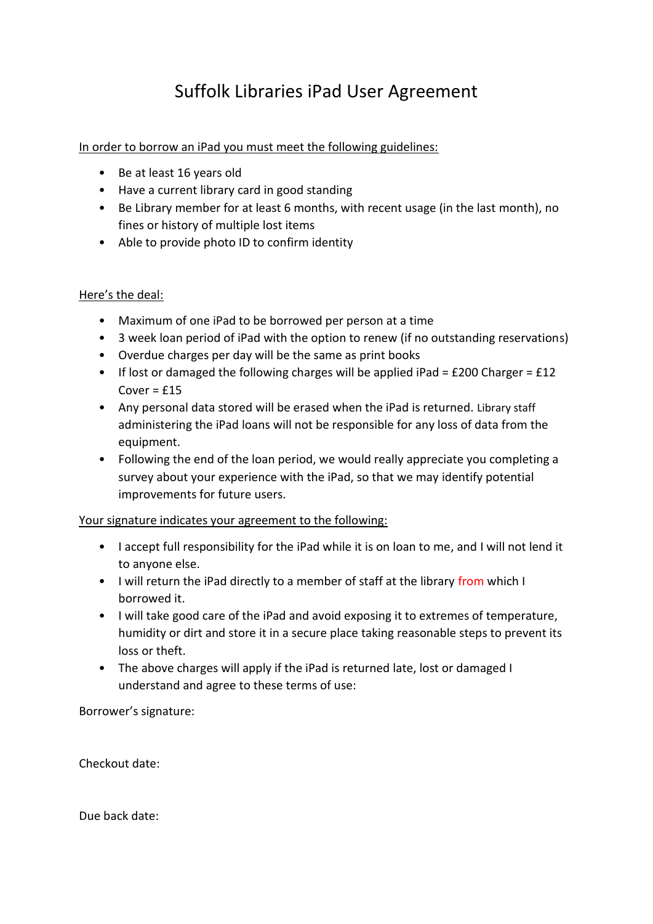## Suffolk Libraries iPad User Agreement

## In order to borrow an iPad you must meet the following guidelines:

- Be at least 16 years old
- Have a current library card in good standing
- Be Library member for at least 6 months, with recent usage (in the last month), no fines or history of multiple lost items
- Able to provide photo ID to confirm identity

## Here's the deal:

- Maximum of one iPad to be borrowed per person at a time
- 3 week loan period of iPad with the option to renew (if no outstanding reservations)
- Overdue charges per day will be the same as print books
- If lost or damaged the following charges will be applied iPad =  $£200$  Charger =  $£12$ Cover =  $£15$
- Any personal data stored will be erased when the iPad is returned. Library staff administering the iPad loans will not be responsible for any loss of data from the equipment.
- Following the end of the loan period, we would really appreciate you completing a survey about your experience with the iPad, so that we may identify potential improvements for future users.

## Your signature indicates your agreement to the following:

- I accept full responsibility for the iPad while it is on loan to me, and I will not lend it to anyone else.
- I will return the iPad directly to a member of staff at the library from which I borrowed it.
- I will take good care of the iPad and avoid exposing it to extremes of temperature, humidity or dirt and store it in a secure place taking reasonable steps to prevent its loss or theft.
- The above charges will apply if the iPad is returned late, lost or damaged I understand and agree to these terms of use:

Borrower's signature:

Checkout date:

Due back date: